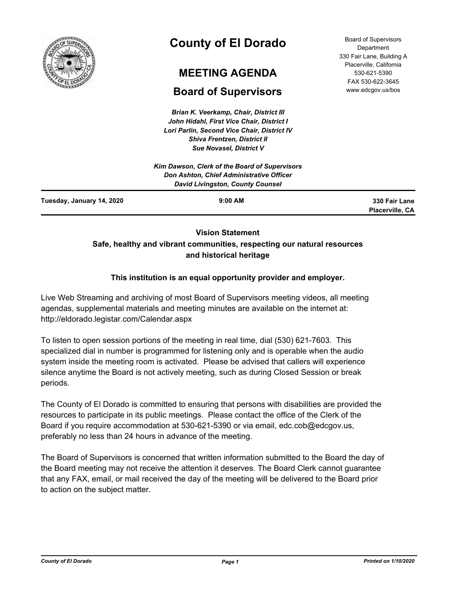

# **County of El Dorado**

# **MEETING AGENDA**

## **Board of Supervisors**

*Brian K. Veerkamp, Chair, District III John Hidahl, First Vice Chair, District I Lori Parlin, Second Vice Chair, District IV Shiva Frentzen, District II Sue Novasel, District V*

Board of Supervisors **Department** 330 Fair Lane, Building A Placerville, California 530-621-5390 FAX 530-622-3645 www.edcgov.us/bos

|                           | Kim Dawson, Clerk of the Board of Supervisors |                 |
|---------------------------|-----------------------------------------------|-----------------|
|                           | Don Ashton, Chief Administrative Officer      |                 |
|                           | <b>David Livingston, County Counsel</b>       |                 |
| Tuesday, January 14, 2020 | $9:00$ AM                                     | 330 Fair Lane   |
|                           |                                               | Placerville, CA |

## **Vision Statement Safe, healthy and vibrant communities, respecting our natural resources and historical heritage**

## **This institution is an equal opportunity provider and employer.**

Live Web Streaming and archiving of most Board of Supervisors meeting videos, all meeting agendas, supplemental materials and meeting minutes are available on the internet at: http://eldorado.legistar.com/Calendar.aspx

To listen to open session portions of the meeting in real time, dial (530) 621-7603. This specialized dial in number is programmed for listening only and is operable when the audio system inside the meeting room is activated. Please be advised that callers will experience silence anytime the Board is not actively meeting, such as during Closed Session or break periods.

The County of El Dorado is committed to ensuring that persons with disabilities are provided the resources to participate in its public meetings. Please contact the office of the Clerk of the Board if you require accommodation at 530-621-5390 or via email, edc.cob@edcgov.us, preferably no less than 24 hours in advance of the meeting.

The Board of Supervisors is concerned that written information submitted to the Board the day of the Board meeting may not receive the attention it deserves. The Board Clerk cannot guarantee that any FAX, email, or mail received the day of the meeting will be delivered to the Board prior to action on the subject matter.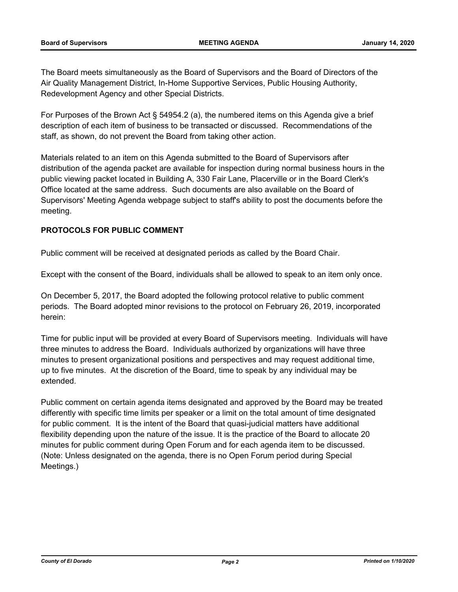The Board meets simultaneously as the Board of Supervisors and the Board of Directors of the Air Quality Management District, In-Home Supportive Services, Public Housing Authority, Redevelopment Agency and other Special Districts.

For Purposes of the Brown Act § 54954.2 (a), the numbered items on this Agenda give a brief description of each item of business to be transacted or discussed. Recommendations of the staff, as shown, do not prevent the Board from taking other action.

Materials related to an item on this Agenda submitted to the Board of Supervisors after distribution of the agenda packet are available for inspection during normal business hours in the public viewing packet located in Building A, 330 Fair Lane, Placerville or in the Board Clerk's Office located at the same address. Such documents are also available on the Board of Supervisors' Meeting Agenda webpage subject to staff's ability to post the documents before the meeting.

## **PROTOCOLS FOR PUBLIC COMMENT**

Public comment will be received at designated periods as called by the Board Chair.

Except with the consent of the Board, individuals shall be allowed to speak to an item only once.

On December 5, 2017, the Board adopted the following protocol relative to public comment periods. The Board adopted minor revisions to the protocol on February 26, 2019, incorporated herein:

Time for public input will be provided at every Board of Supervisors meeting. Individuals will have three minutes to address the Board. Individuals authorized by organizations will have three minutes to present organizational positions and perspectives and may request additional time, up to five minutes. At the discretion of the Board, time to speak by any individual may be extended.

Public comment on certain agenda items designated and approved by the Board may be treated differently with specific time limits per speaker or a limit on the total amount of time designated for public comment. It is the intent of the Board that quasi-judicial matters have additional flexibility depending upon the nature of the issue. It is the practice of the Board to allocate 20 minutes for public comment during Open Forum and for each agenda item to be discussed. (Note: Unless designated on the agenda, there is no Open Forum period during Special Meetings.)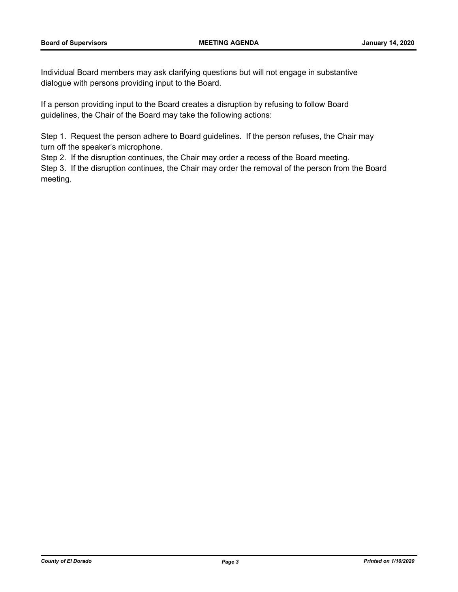Individual Board members may ask clarifying questions but will not engage in substantive dialogue with persons providing input to the Board.

If a person providing input to the Board creates a disruption by refusing to follow Board guidelines, the Chair of the Board may take the following actions:

Step 1. Request the person adhere to Board guidelines. If the person refuses, the Chair may turn off the speaker's microphone.

Step 2. If the disruption continues, the Chair may order a recess of the Board meeting.

Step 3. If the disruption continues, the Chair may order the removal of the person from the Board meeting.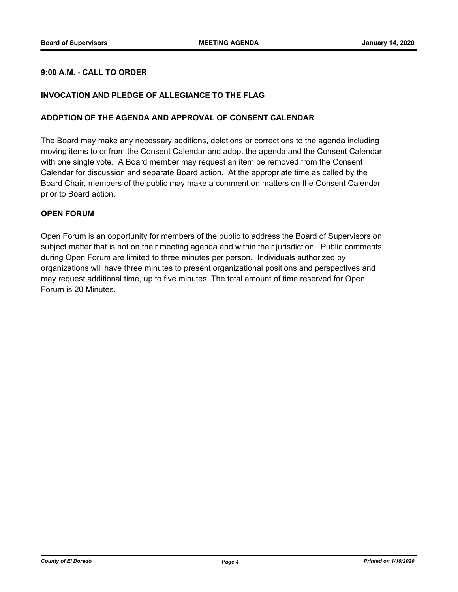## **9:00 A.M. - CALL TO ORDER**

#### **INVOCATION AND PLEDGE OF ALLEGIANCE TO THE FLAG**

#### **ADOPTION OF THE AGENDA AND APPROVAL OF CONSENT CALENDAR**

The Board may make any necessary additions, deletions or corrections to the agenda including moving items to or from the Consent Calendar and adopt the agenda and the Consent Calendar with one single vote. A Board member may request an item be removed from the Consent Calendar for discussion and separate Board action. At the appropriate time as called by the Board Chair, members of the public may make a comment on matters on the Consent Calendar prior to Board action.

#### **OPEN FORUM**

Open Forum is an opportunity for members of the public to address the Board of Supervisors on subject matter that is not on their meeting agenda and within their jurisdiction. Public comments during Open Forum are limited to three minutes per person. Individuals authorized by organizations will have three minutes to present organizational positions and perspectives and may request additional time, up to five minutes. The total amount of time reserved for Open Forum is 20 Minutes.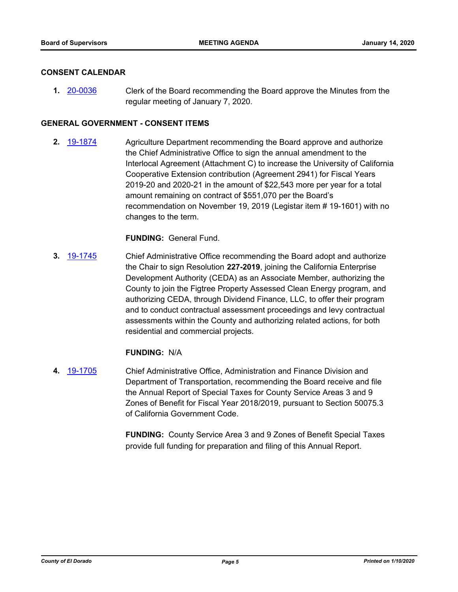#### **CONSENT CALENDAR**

**1.** [20-0036](http://eldorado.legistar.com/gateway.aspx?m=l&id=/matter.aspx?key=27240) Clerk of the Board recommending the Board approve the Minutes from the regular meeting of January 7, 2020.

#### **GENERAL GOVERNMENT - CONSENT ITEMS**

**2.** [19-1874](http://eldorado.legistar.com/gateway.aspx?m=l&id=/matter.aspx?key=27198) Agriculture Department recommending the Board approve and authorize the Chief Administrative Office to sign the annual amendment to the Interlocal Agreement (Attachment C) to increase the University of California Cooperative Extension contribution (Agreement 2941) for Fiscal Years 2019-20 and 2020-21 in the amount of \$22,543 more per year for a total amount remaining on contract of \$551,070 per the Board's recommendation on November 19, 2019 (Legistar item # 19-1601) with no changes to the term.

#### **FUNDING:** General Fund.

**3.** [19-1745](http://eldorado.legistar.com/gateway.aspx?m=l&id=/matter.aspx?key=27069) Chief Administrative Office recommending the Board adopt and authorize the Chair to sign Resolution **227-2019**, joining the California Enterprise Development Authority (CEDA) as an Associate Member, authorizing the County to join the Figtree Property Assessed Clean Energy program, and authorizing CEDA, through Dividend Finance, LLC, to offer their program and to conduct contractual assessment proceedings and levy contractual assessments within the County and authorizing related actions, for both residential and commercial projects.

#### **FUNDING:** N/A

**4.** [19-1705](http://eldorado.legistar.com/gateway.aspx?m=l&id=/matter.aspx?key=27029) Chief Administrative Office, Administration and Finance Division and Department of Transportation, recommending the Board receive and file the Annual Report of Special Taxes for County Service Areas 3 and 9 Zones of Benefit for Fiscal Year 2018/2019, pursuant to Section 50075.3 of California Government Code.

> **FUNDING:** County Service Area 3 and 9 Zones of Benefit Special Taxes provide full funding for preparation and filing of this Annual Report.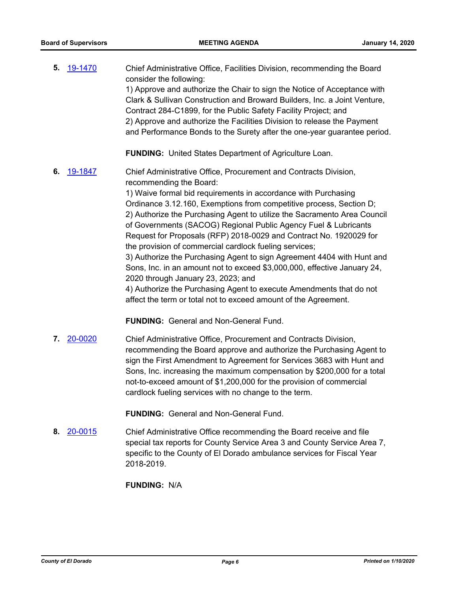**5.** [19-1470](http://eldorado.legistar.com/gateway.aspx?m=l&id=/matter.aspx?key=26791) Chief Administrative Office, Facilities Division, recommending the Board consider the following: 1) Approve and authorize the Chair to sign the Notice of Acceptance with Clark & Sullivan Construction and Broward Builders, Inc. a Joint Venture, Contract 284-C1899, for the Public Safety Facility Project; and 2) Approve and authorize the Facilities Division to release the Payment and Performance Bonds to the Surety after the one-year guarantee period.

**FUNDING:** United States Department of Agriculture Loan.

**6.** [19-1847](http://eldorado.legistar.com/gateway.aspx?m=l&id=/matter.aspx?key=27171) Chief Administrative Office, Procurement and Contracts Division, recommending the Board: 1) Waive formal bid requirements in accordance with Purchasing Ordinance 3.12.160, Exemptions from competitive process, Section D; 2) Authorize the Purchasing Agent to utilize the Sacramento Area Council of Governments (SACOG) Regional Public Agency Fuel & Lubricants

> Request for Proposals (RFP) 2018-0029 and Contract No. 1920029 for the provision of commercial cardlock fueling services; 3) Authorize the Purchasing Agent to sign Agreement 4404 with Hunt and

Sons, Inc. in an amount not to exceed \$3,000,000, effective January 24, 2020 through January 23, 2023; and

4) Authorize the Purchasing Agent to execute Amendments that do not affect the term or total not to exceed amount of the Agreement.

**FUNDING:** General and Non-General Fund.

**7.** [20-0020](http://eldorado.legistar.com/gateway.aspx?m=l&id=/matter.aspx?key=27224) Chief Administrative Office, Procurement and Contracts Division, recommending the Board approve and authorize the Purchasing Agent to sign the First Amendment to Agreement for Services 3683 with Hunt and Sons, Inc. increasing the maximum compensation by \$200,000 for a total not-to-exceed amount of \$1,200,000 for the provision of commercial cardlock fueling services with no change to the term.

**FUNDING:** General and Non-General Fund.

**8.** [20-0015](http://eldorado.legistar.com/gateway.aspx?m=l&id=/matter.aspx?key=27219) Chief Administrative Office recommending the Board receive and file special tax reports for County Service Area 3 and County Service Area 7, specific to the County of El Dorado ambulance services for Fiscal Year 2018-2019.

**FUNDING:** N/A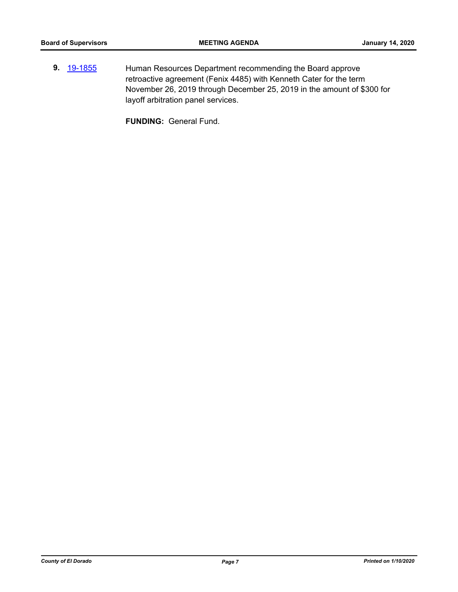**9.** [19-1855](http://eldorado.legistar.com/gateway.aspx?m=l&id=/matter.aspx?key=27179) Human Resources Department recommending the Board approve retroactive agreement (Fenix 4485) with Kenneth Cater for the term November 26, 2019 through December 25, 2019 in the amount of \$300 for layoff arbitration panel services.

**FUNDING:** General Fund.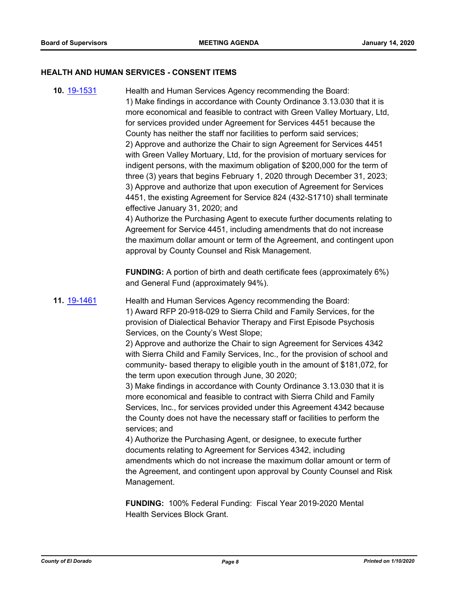#### **HEALTH AND HUMAN SERVICES - CONSENT ITEMS**

**10.** [19-1531](http://eldorado.legistar.com/gateway.aspx?m=l&id=/matter.aspx?key=26853) Health and Human Services Agency recommending the Board: 1) Make findings in accordance with County Ordinance 3.13.030 that it is more economical and feasible to contract with Green Valley Mortuary, Ltd, for services provided under Agreement for Services 4451 because the County has neither the staff nor facilities to perform said services; 2) Approve and authorize the Chair to sign Agreement for Services 4451 with Green Valley Mortuary, Ltd, for the provision of mortuary services for indigent persons, with the maximum obligation of \$200,000 for the term of three (3) years that begins February 1, 2020 through December 31, 2023; 3) Approve and authorize that upon execution of Agreement for Services 4451, the existing Agreement for Service 824 (432-S1710) shall terminate effective January 31, 2020; and 4) Authorize the Purchasing Agent to execute further documents relating to Agreement for Service 4451, including amendments that do not increase the maximum dollar amount or term of the Agreement, and contingent upon approval by County Counsel and Risk Management. **FUNDING:** A portion of birth and death certificate fees (approximately 6%) and General Fund (approximately 94%). **11.** [19-1461](http://eldorado.legistar.com/gateway.aspx?m=l&id=/matter.aspx?key=26782) Health and Human Services Agency recommending the Board: 1) Award RFP 20-918-029 to Sierra Child and Family Services, for the provision of Dialectical Behavior Therapy and First Episode Psychosis Services, on the County's West Slope; 2) Approve and authorize the Chair to sign Agreement for Services 4342 with Sierra Child and Family Services, Inc., for the provision of school and community- based therapy to eligible youth in the amount of \$181,072, for the term upon execution through June, 30 2020; 3) Make findings in accordance with County Ordinance 3.13.030 that it is more economical and feasible to contract with Sierra Child and Family Services, Inc., for services provided under this Agreement 4342 because the County does not have the necessary staff or facilities to perform the services; and 4) Authorize the Purchasing Agent, or designee, to execute further documents relating to Agreement for Services 4342, including amendments which do not increase the maximum dollar amount or term of the Agreement, and contingent upon approval by County Counsel and Risk Management. **FUNDING:** 100% Federal Funding: Fiscal Year 2019-2020 Mental Health Services Block Grant.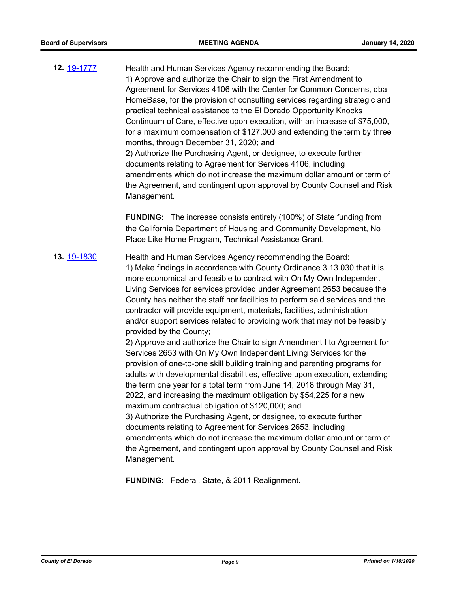**12.** [19-1777](http://eldorado.legistar.com/gateway.aspx?m=l&id=/matter.aspx?key=27101) Health and Human Services Agency recommending the Board: 1) Approve and authorize the Chair to sign the First Amendment to Agreement for Services 4106 with the Center for Common Concerns, dba HomeBase, for the provision of consulting services regarding strategic and practical technical assistance to the El Dorado Opportunity Knocks Continuum of Care, effective upon execution, with an increase of \$75,000, for a maximum compensation of \$127,000 and extending the term by three months, through December 31, 2020; and 2) Authorize the Purchasing Agent, or designee, to execute further documents relating to Agreement for Services 4106, including amendments which do not increase the maximum dollar amount or term of the Agreement, and contingent upon approval by County Counsel and Risk Management.

> **FUNDING:** The increase consists entirely (100%) of State funding from the California Department of Housing and Community Development, No Place Like Home Program, Technical Assistance Grant.

**13.** [19-1830](http://eldorado.legistar.com/gateway.aspx?m=l&id=/matter.aspx?key=27154) Health and Human Services Agency recommending the Board: 1) Make findings in accordance with County Ordinance 3.13.030 that it is more economical and feasible to contract with On My Own Independent Living Services for services provided under Agreement 2653 because the County has neither the staff nor facilities to perform said services and the contractor will provide equipment, materials, facilities, administration and/or support services related to providing work that may not be feasibly provided by the County;

2) Approve and authorize the Chair to sign Amendment I to Agreement for Services 2653 with On My Own Independent Living Services for the provision of one-to-one skill building training and parenting programs for adults with developmental disabilities, effective upon execution, extending the term one year for a total term from June 14, 2018 through May 31, 2022, and increasing the maximum obligation by \$54,225 for a new maximum contractual obligation of \$120,000; and

3) Authorize the Purchasing Agent, or designee, to execute further documents relating to Agreement for Services 2653, including amendments which do not increase the maximum dollar amount or term of the Agreement, and contingent upon approval by County Counsel and Risk Management.

**FUNDING:** Federal, State, & 2011 Realignment.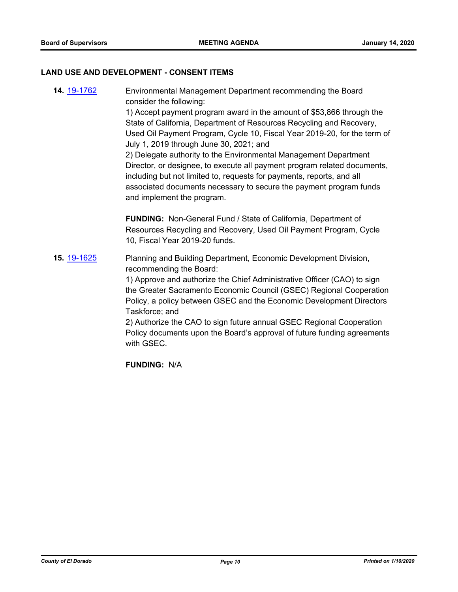#### **LAND USE AND DEVELOPMENT - CONSENT ITEMS**

**14.** [19-1762](http://eldorado.legistar.com/gateway.aspx?m=l&id=/matter.aspx?key=27086) Environmental Management Department recommending the Board consider the following: 1) Accept payment program award in the amount of \$53,866 through the State of California, Department of Resources Recycling and Recovery, Used Oil Payment Program, Cycle 10, Fiscal Year 2019-20, for the term of July 1, 2019 through June 30, 2021; and 2) Delegate authority to the Environmental Management Department Director, or designee, to execute all payment program related documents, including but not limited to, requests for payments, reports, and all associated documents necessary to secure the payment program funds and implement the program. **FUNDING:** Non-General Fund / State of California, Department of Resources Recycling and Recovery, Used Oil Payment Program, Cycle 10, Fiscal Year 2019-20 funds. **15.** [19-1625](http://eldorado.legistar.com/gateway.aspx?m=l&id=/matter.aspx?key=26949) Planning and Building Department, Economic Development Division, recommending the Board: 1) Approve and authorize the Chief Administrative Officer (CAO) to sign the Greater Sacramento Economic Council (GSEC) Regional Cooperation Policy, a policy between GSEC and the Economic Development Directors Taskforce; and 2) Authorize the CAO to sign future annual GSEC Regional Cooperation Policy documents upon the Board's approval of future funding agreements with GSEC.

**FUNDING:** N/A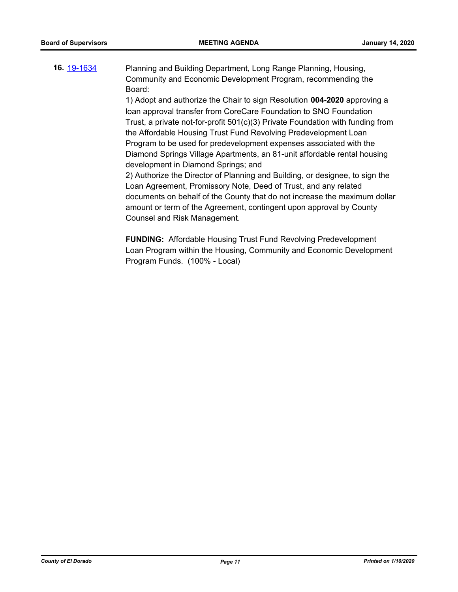**16.** [19-1634](http://eldorado.legistar.com/gateway.aspx?m=l&id=/matter.aspx?key=26958) Planning and Building Department, Long Range Planning, Housing, Community and Economic Development Program, recommending the Board:

> 1) Adopt and authorize the Chair to sign Resolution **004-2020** approving a loan approval transfer from CoreCare Foundation to SNO Foundation Trust, a private not-for-profit 501(c)(3) Private Foundation with funding from the Affordable Housing Trust Fund Revolving Predevelopment Loan Program to be used for predevelopment expenses associated with the Diamond Springs Village Apartments, an 81-unit affordable rental housing development in Diamond Springs; and

> 2) Authorize the Director of Planning and Building, or designee, to sign the Loan Agreement, Promissory Note, Deed of Trust, and any related documents on behalf of the County that do not increase the maximum dollar amount or term of the Agreement, contingent upon approval by County Counsel and Risk Management.

> **FUNDING:** Affordable Housing Trust Fund Revolving Predevelopment Loan Program within the Housing, Community and Economic Development Program Funds. (100% - Local)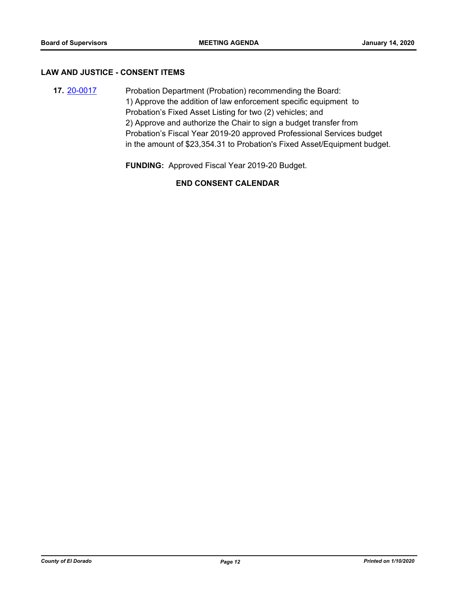#### **LAW AND JUSTICE - CONSENT ITEMS**

**17. [20-0017](http://eldorado.legistar.com/gateway.aspx?m=l&id=/matter.aspx?key=27221)** Probation Department (Probation) recommending the Board: 1) Approve the addition of law enforcement specific equipment to Probation's Fixed Asset Listing for two (2) vehicles; and 2) Approve and authorize the Chair to sign a budget transfer from Probation's Fiscal Year 2019-20 approved Professional Services budget in the amount of \$23,354.31 to Probation's Fixed Asset/Equipment budget.

**FUNDING:** Approved Fiscal Year 2019-20 Budget.

## **END CONSENT CALENDAR**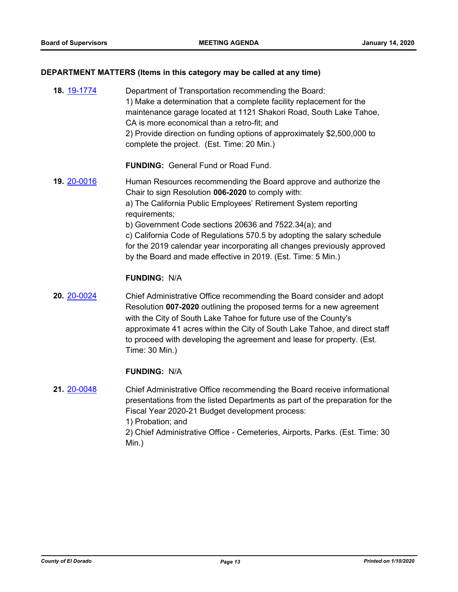## **DEPARTMENT MATTERS (Items in this category may be called at any time)**

| 18. 19-1774 | Department of Transportation recommending the Board:<br>1) Make a determination that a complete facility replacement for the<br>maintenance garage located at 1121 Shakori Road, South Lake Tahoe,<br>CA is more economical than a retro-fit; and<br>2) Provide direction on funding options of approximately \$2,500,000 to<br>complete the project. (Est. Time: 20 Min.)                                                                                                                |
|-------------|-------------------------------------------------------------------------------------------------------------------------------------------------------------------------------------------------------------------------------------------------------------------------------------------------------------------------------------------------------------------------------------------------------------------------------------------------------------------------------------------|
|             | <b>FUNDING:</b> General Fund or Road Fund.                                                                                                                                                                                                                                                                                                                                                                                                                                                |
| 19. 20-0016 | Human Resources recommending the Board approve and authorize the<br>Chair to sign Resolution 006-2020 to comply with:<br>a) The California Public Employees' Retirement System reporting<br>requirements;<br>b) Government Code sections 20636 and 7522.34(a); and<br>c) California Code of Regulations 570.5 by adopting the salary schedule<br>for the 2019 calendar year incorporating all changes previously approved<br>by the Board and made effective in 2019. (Est. Time: 5 Min.) |
|             | <b>FUNDING: N/A</b>                                                                                                                                                                                                                                                                                                                                                                                                                                                                       |
| 20. 20-0024 | Chief Administrative Office recommending the Board consider and adopt<br>Resolution 007-2020 outlining the proposed terms for a new agreement<br>with the City of South Lake Tahoe for future use of the County's<br>approximate 41 acres within the City of South Lake Tahoe, and direct staff<br>to proceed with developing the agreement and lease for property. (Est.<br>Time: 30 Min.)                                                                                               |
|             | <b>FUNDING: N/A</b>                                                                                                                                                                                                                                                                                                                                                                                                                                                                       |
| 21. 20-0048 | Chief Administrative Office recommending the Board receive informational<br>presentations from the listed Departments as part of the preparation for the<br>Fiscal Year 2020-21 Budget development process:                                                                                                                                                                                                                                                                               |

1) Probation; and

2) Chief Administrative Office - Cemeteries, Airports, Parks. (Est. Time: 30 Min.)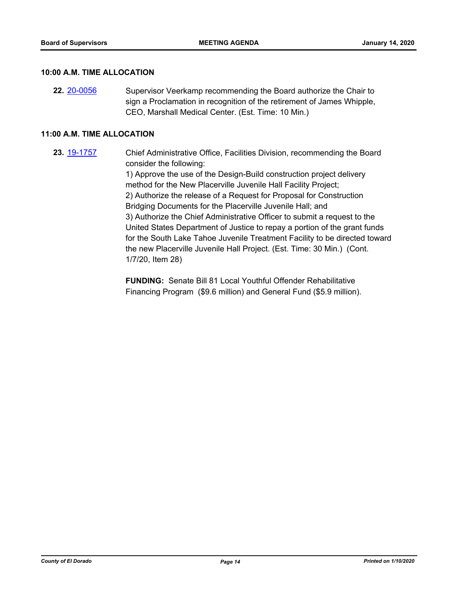#### **10:00 A.M. TIME ALLOCATION**

**22.** [20-0056](http://eldorado.legistar.com/gateway.aspx?m=l&id=/matter.aspx?key=27261) Supervisor Veerkamp recommending the Board authorize the Chair to sign a Proclamation in recognition of the retirement of James Whipple, CEO, Marshall Medical Center. (Est. Time: 10 Min.)

#### **11:00 A.M. TIME ALLOCATION**

**23.** [19-1757](http://eldorado.legistar.com/gateway.aspx?m=l&id=/matter.aspx?key=27081) Chief Administrative Office, Facilities Division, recommending the Board consider the following:

> 1) Approve the use of the Design-Build construction project delivery method for the New Placerville Juvenile Hall Facility Project; 2) Authorize the release of a Request for Proposal for Construction Bridging Documents for the Placerville Juvenile Hall; and 3) Authorize the Chief Administrative Officer to submit a request to the United States Department of Justice to repay a portion of the grant funds for the South Lake Tahoe Juvenile Treatment Facility to be directed toward the new Placerville Juvenile Hall Project. (Est. Time: 30 Min.) (Cont. 1/7/20, Item 28)

**FUNDING:** Senate Bill 81 Local Youthful Offender Rehabilitative Financing Program (\$9.6 million) and General Fund (\$5.9 million).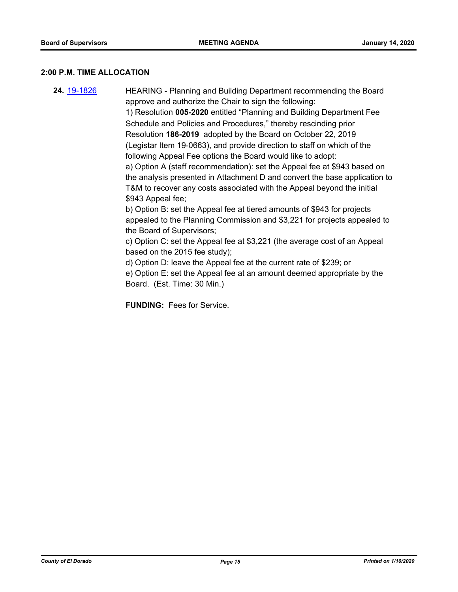#### **2:00 P.M. TIME ALLOCATION**

**24.** [19-1826](http://eldorado.legistar.com/gateway.aspx?m=l&id=/matter.aspx?key=27150) HEARING - Planning and Building Department recommending the Board approve and authorize the Chair to sign the following: 1) Resolution **005-2020** entitled "Planning and Building Department Fee Schedule and Policies and Procedures," thereby rescinding prior Resolution **186-2019** adopted by the Board on October 22, 2019 (Legistar Item 19-0663), and provide direction to staff on which of the following Appeal Fee options the Board would like to adopt: a) Option A (staff recommendation): set the Appeal fee at \$943 based on the analysis presented in Attachment D and convert the base application to T&M to recover any costs associated with the Appeal beyond the initial \$943 Appeal fee; b) Option B: set the Appeal fee at tiered amounts of \$943 for projects appealed to the Planning Commission and \$3,221 for projects appealed to the Board of Supervisors; c) Option C: set the Appeal fee at \$3,221 (the average cost of an Appeal based on the 2015 fee study); d) Option D: leave the Appeal fee at the current rate of \$239; or e) Option E: set the Appeal fee at an amount deemed appropriate by the Board. (Est. Time: 30 Min.)

**FUNDING:** Fees for Service.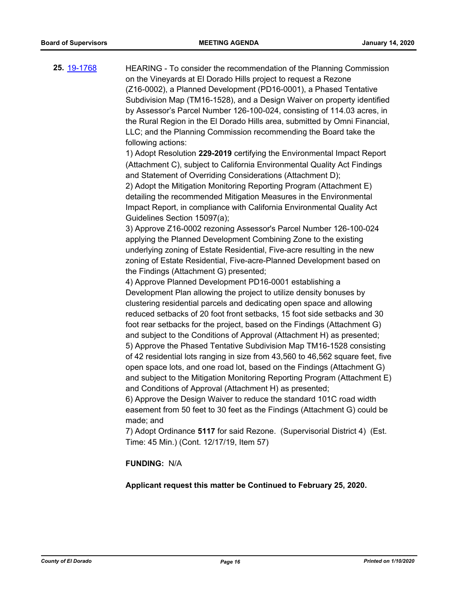**25.** [19-1768](http://eldorado.legistar.com/gateway.aspx?m=l&id=/matter.aspx?key=27092) HEARING - To consider the recommendation of the Planning Commission on the Vineyards at El Dorado Hills project to request a Rezone (Z16-0002), a Planned Development (PD16-0001), a Phased Tentative Subdivision Map (TM16-1528), and a Design Waiver on property identified by Assessor's Parcel Number 126-100-024, consisting of 114.03 acres, in the Rural Region in the El Dorado Hills area, submitted by Omni Financial, LLC; and the Planning Commission recommending the Board take the following actions: 1) Adopt Resolution **229-2019** certifying the Environmental Impact Report (Attachment C), subject to California Environmental Quality Act Findings and Statement of Overriding Considerations (Attachment D); 2) Adopt the Mitigation Monitoring Reporting Program (Attachment E) detailing the recommended Mitigation Measures in the Environmental Impact Report, in compliance with California Environmental Quality Act Guidelines Section 15097(a); 3) Approve Z16-0002 rezoning Assessor's Parcel Number 126-100-024 applying the Planned Development Combining Zone to the existing underlying zoning of Estate Residential, Five-acre resulting in the new zoning of Estate Residential, Five-acre-Planned Development based on the Findings (Attachment G) presented; 4) Approve Planned Development PD16-0001 establishing a Development Plan allowing the project to utilize density bonuses by clustering residential parcels and dedicating open space and allowing reduced setbacks of 20 foot front setbacks, 15 foot side setbacks and 30 foot rear setbacks for the project, based on the Findings (Attachment G) and subject to the Conditions of Approval (Attachment H) as presented; 5) Approve the Phased Tentative Subdivision Map TM16-1528 consisting of 42 residential lots ranging in size from 43,560 to 46,562 square feet, five open space lots, and one road lot, based on the Findings (Attachment G) and subject to the Mitigation Monitoring Reporting Program (Attachment E) and Conditions of Approval (Attachment H) as presented; 6) Approve the Design Waiver to reduce the standard 101C road width easement from 50 feet to 30 feet as the Findings (Attachment G) could be made; and 7) Adopt Ordinance **5117** for said Rezone. (Supervisorial District 4) (Est. Time: 45 Min.) (Cont. 12/17/19, Item 57)

#### **FUNDING:** N/A

**Applicant request this matter be Continued to February 25, 2020.**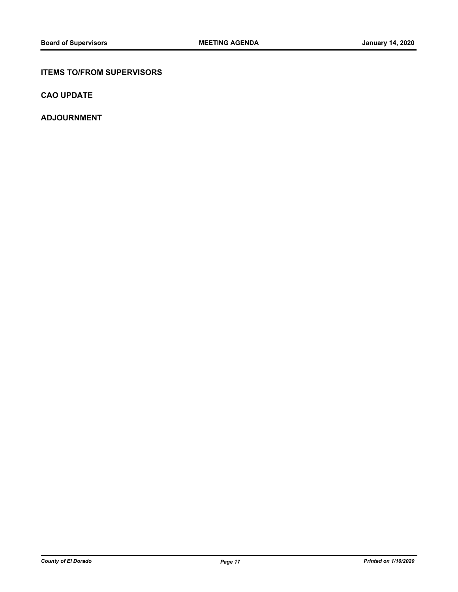#### **ITEMS TO/FROM SUPERVISORS**

**CAO UPDATE**

**ADJOURNMENT**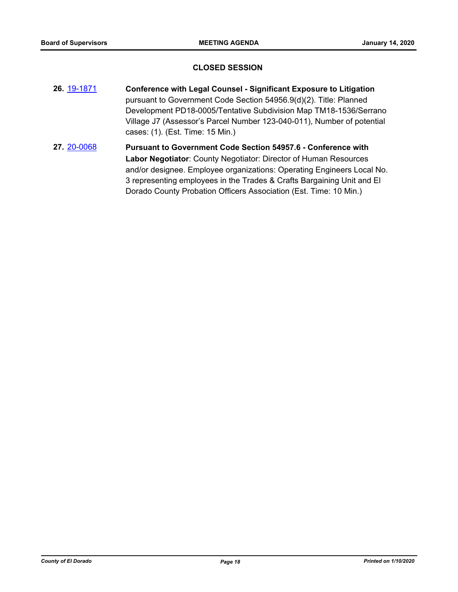#### **CLOSED SESSION**

- **26.** [19-1871](http://eldorado.legistar.com/gateway.aspx?m=l&id=/matter.aspx?key=27195) **Conference with Legal Counsel Significant Exposure to Litigation** pursuant to Government Code Section 54956.9(d)(2). Title: Planned Development PD18-0005/Tentative Subdivision Map TM18-1536/Serrano Village J7 (Assessor's Parcel Number 123-040-011), Number of potential cases: (1). (Est. Time: 15 Min.)
- **27.** [20-0068](http://eldorado.legistar.com/gateway.aspx?m=l&id=/matter.aspx?key=27273) **Pursuant to Government Code Section 54957.6 Conference with Labor Negotiator**: County Negotiator: Director of Human Resources and/or designee. Employee organizations: Operating Engineers Local No. 3 representing employees in the Trades & Crafts Bargaining Unit and El Dorado County Probation Officers Association (Est. Time: 10 Min.)